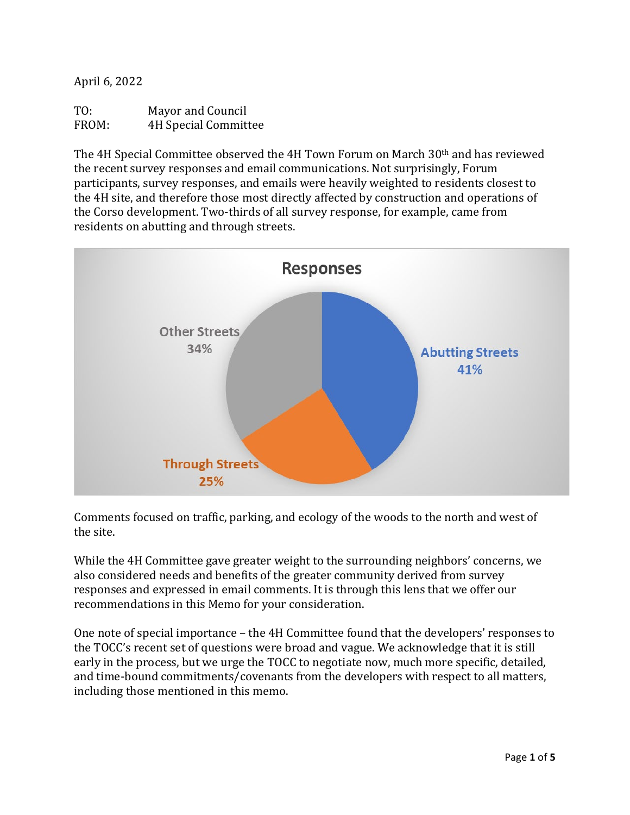April 6, 2022

| TO:   | <b>Mayor and Council</b>    |
|-------|-----------------------------|
| FROM: | <b>4H Special Committee</b> |

The 4H Special Committee observed the 4H Town Forum on March 30th and has reviewed the recent survey responses and email communications. Not surprisingly, Forum participants, survey responses, and emails were heavily weighted to residents closest to the 4H site, and therefore those most directly affected by construction and operations of the Corso development. Two-thirds of all survey response, for example, came from residents on abutting and through streets.



Comments focused on traffic, parking, and ecology of the woods to the north and west of the site.

While the 4H Committee gave greater weight to the surrounding neighbors' concerns, we also considered needs and benefits of the greater community derived from survey responses and expressed in email comments. It is through this lens that we offer our recommendations in this Memo for your consideration.

One note of special importance – the 4H Committee found that the developers' responses to the TOCC's recent set of questions were broad and vague. We acknowledge that it is still early in the process, but we urge the TOCC to negotiate now, much more specific, detailed, and time-bound commitments/covenants from the developers with respect to all matters, including those mentioned in this memo.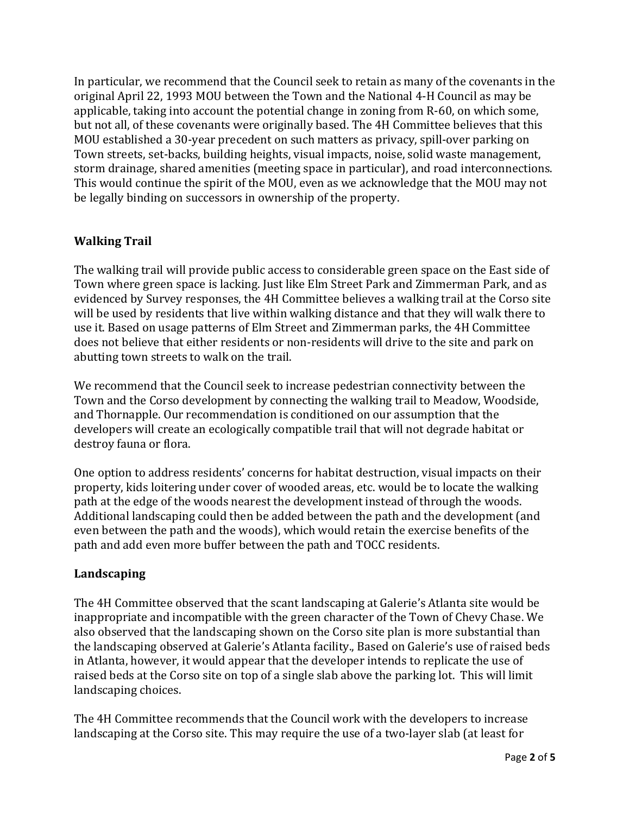In particular, we recommend that the Council seek to retain as many of the covenants in the original April 22, 1993 MOU between the Town and the National 4-H Council as may be applicable, taking into account the potential change in zoning from R-60, on which some, but not all, of these covenants were originally based. The 4H Committee believes that this MOU established a 30-year precedent on such matters as privacy, spill-over parking on Town streets, set-backs, building heights, visual impacts, noise, solid waste management, storm drainage, shared amenities (meeting space in particular), and road interconnections. This would continue the spirit of the MOU, even as we acknowledge that the MOU may not be legally binding on successors in ownership of the property.

# **Walking Trail**

The walking trail will provide public access to considerable green space on the East side of Town where green space is lacking. Just like Elm Street Park and Zimmerman Park, and as evidenced by Survey responses, the 4H Committee believes a walking trail at the Corso site will be used by residents that live within walking distance and that they will walk there to use it. Based on usage patterns of Elm Street and Zimmerman parks, the 4H Committee does not believe that either residents or non-residents will drive to the site and park on abutting town streets to walk on the trail.

We recommend that the Council seek to increase pedestrian connectivity between the Town and the Corso development by connecting the walking trail to Meadow, Woodside, and Thornapple. Our recommendation is conditioned on our assumption that the developers will create an ecologically compatible trail that will not degrade habitat or destroy fauna or flora.

One option to address residents' concerns for habitat destruction, visual impacts on their property, kids loitering under cover of wooded areas, etc. would be to locate the walking path at the edge of the woods nearest the development instead of through the woods. Additional landscaping could then be added between the path and the development (and even between the path and the woods), which would retain the exercise benefits of the path and add even more buffer between the path and TOCC residents.

### **Landscaping**

The 4H Committee observed that the scant landscaping at Galerie's Atlanta site would be inappropriate and incompatible with the green character of the Town of Chevy Chase. We also observed that the landscaping shown on the Corso site plan is more substantial than the landscaping observed at Galerie's Atlanta facility., Based on Galerie's use of raised beds in Atlanta, however, it would appear that the developer intends to replicate the use of raised beds at the Corso site on top of a single slab above the parking lot. This will limit landscaping choices.

The 4H Committee recommends that the Council work with the developers to increase landscaping at the Corso site. This may require the use of a two-layer slab (at least for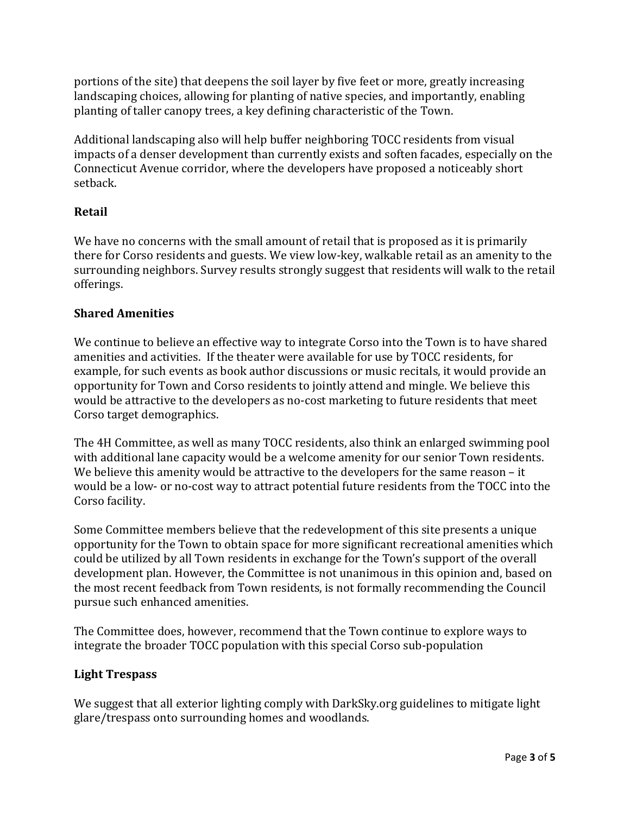portions of the site) that deepens the soil layer by five feet or more, greatly increasing landscaping choices, allowing for planting of native species, and importantly, enabling planting of taller canopy trees, a key defining characteristic of the Town.

Additional landscaping also will help buffer neighboring TOCC residents from visual impacts of a denser development than currently exists and soften facades, especially on the Connecticut Avenue corridor, where the developers have proposed a noticeably short setback.

# **Retail**

We have no concerns with the small amount of retail that is proposed as it is primarily there for Corso residents and guests. We view low-key, walkable retail as an amenity to the surrounding neighbors. Survey results strongly suggest that residents will walk to the retail offerings.

## **Shared Amenities**

We continue to believe an effective way to integrate Corso into the Town is to have shared amenities and activities. If the theater were available for use by TOCC residents, for example, for such events as book author discussions or music recitals, it would provide an opportunity for Town and Corso residents to jointly attend and mingle. We believe this would be attractive to the developers as no-cost marketing to future residents that meet Corso target demographics.

The 4H Committee, as well as many TOCC residents, also think an enlarged swimming pool with additional lane capacity would be a welcome amenity for our senior Town residents. We believe this amenity would be attractive to the developers for the same reason – it would be a low- or no-cost way to attract potential future residents from the TOCC into the Corso facility.

Some Committee members believe that the redevelopment of this site presents a unique opportunity for the Town to obtain space for more significant recreational amenities which could be utilized by all Town residents in exchange for the Town's support of the overall development plan. However, the Committee is not unanimous in this opinion and, based on the most recent feedback from Town residents, is not formally recommending the Council pursue such enhanced amenities.

The Committee does, however, recommend that the Town continue to explore ways to integrate the broader TOCC population with this special Corso sub-population

# **Light Trespass**

We suggest that all exterior lighting comply with DarkSky.org guidelines to mitigate light glare/trespass onto surrounding homes and woodlands.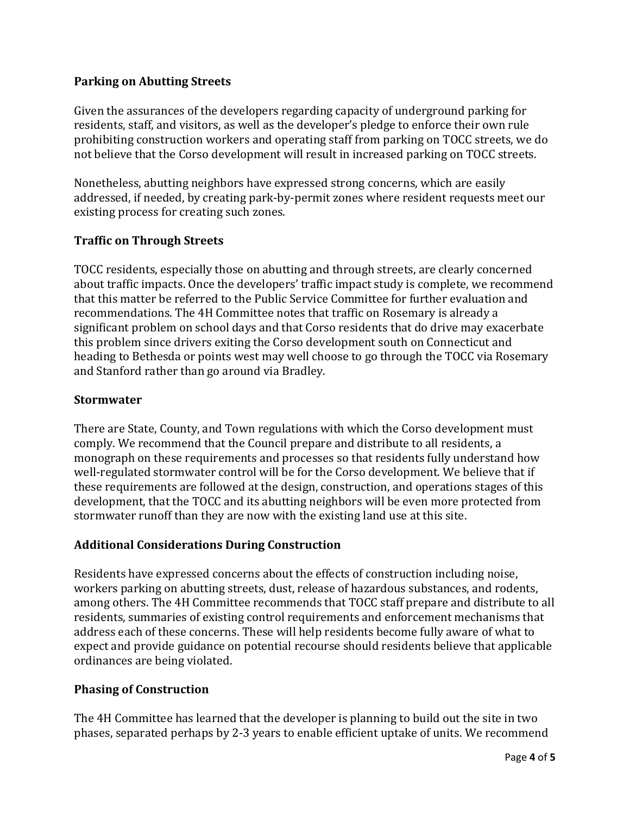### **Parking on Abutting Streets**

Given the assurances of the developers regarding capacity of underground parking for residents, staff, and visitors, as well as the developer's pledge to enforce their own rule prohibiting construction workers and operating staff from parking on TOCC streets, we do not believe that the Corso development will result in increased parking on TOCC streets.

Nonetheless, abutting neighbors have expressed strong concerns, which are easily addressed, if needed, by creating park-by-permit zones where resident requests meet our existing process for creating such zones.

## **Traffic on Through Streets**

TOCC residents, especially those on abutting and through streets, are clearly concerned about traffic impacts. Once the developers' traffic impact study is complete, we recommend that this matter be referred to the Public Service Committee for further evaluation and recommendations. The 4H Committee notes that traffic on Rosemary is already a significant problem on school days and that Corso residents that do drive may exacerbate this problem since drivers exiting the Corso development south on Connecticut and heading to Bethesda or points west may well choose to go through the TOCC via Rosemary and Stanford rather than go around via Bradley.

### **Stormwater**

There are State, County, and Town regulations with which the Corso development must comply. We recommend that the Council prepare and distribute to all residents, a monograph on these requirements and processes so that residents fully understand how well-regulated stormwater control will be for the Corso development. We believe that if these requirements are followed at the design, construction, and operations stages of this development, that the TOCC and its abutting neighbors will be even more protected from stormwater runoff than they are now with the existing land use at this site.

### **Additional Considerations During Construction**

Residents have expressed concerns about the effects of construction including noise, workers parking on abutting streets, dust, release of hazardous substances, and rodents, among others. The 4H Committee recommends that TOCC staff prepare and distribute to all residents, summaries of existing control requirements and enforcement mechanisms that address each of these concerns. These will help residents become fully aware of what to expect and provide guidance on potential recourse should residents believe that applicable ordinances are being violated.

### **Phasing of Construction**

The 4H Committee has learned that the developer is planning to build out the site in two phases, separated perhaps by 2-3 years to enable efficient uptake of units. We recommend